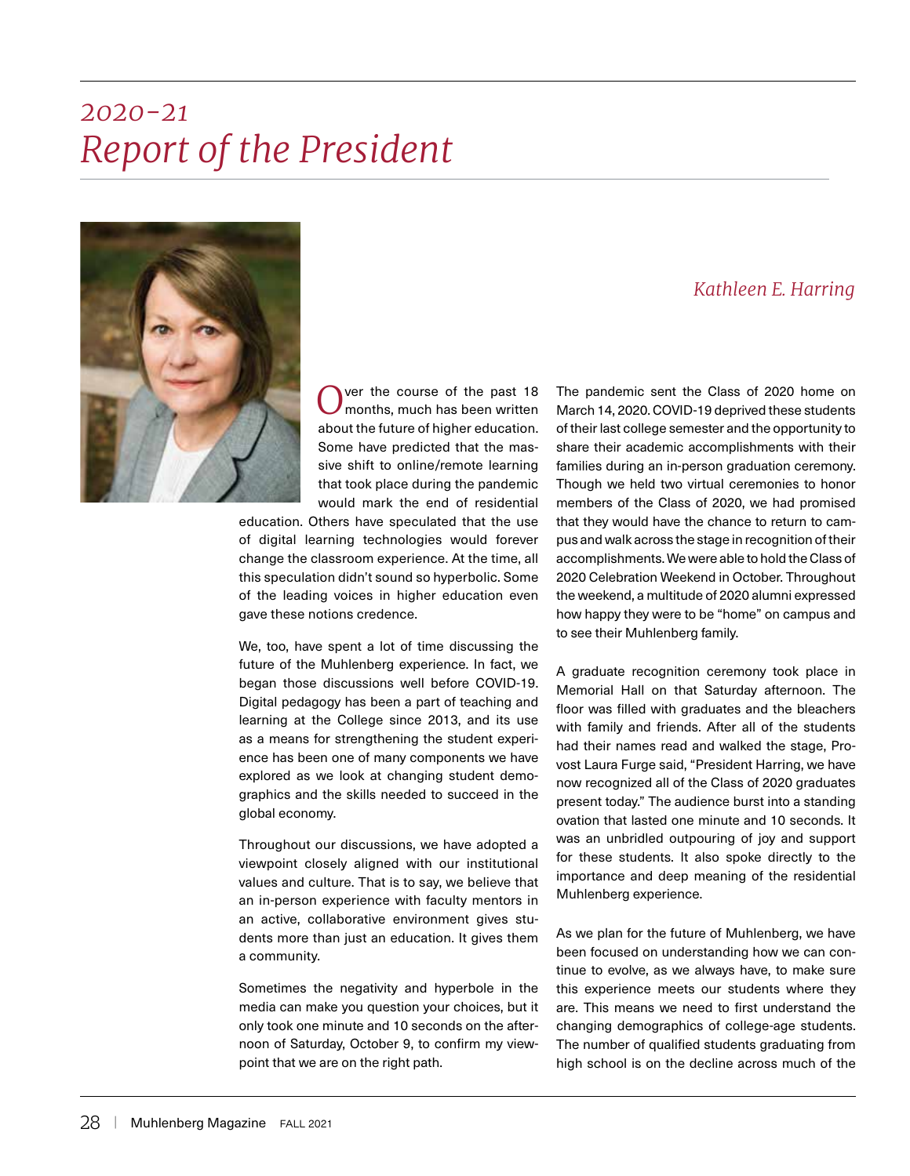## *Report of the President 2020-21*



Over the course of the past 18<br>
Omonths, much has been written about the future of higher education. Some have predicted that the massive shift to online/remote learning that took place during the pandemic would mark the end of residential

education. Others have speculated that the use of digital learning technologies would forever change the classroom experience. At the time, all this speculation didn't sound so hyperbolic. Some of the leading voices in higher education even gave these notions credence.

We, too, have spent a lot of time discussing the future of the Muhlenberg experience. In fact, we began those discussions well before COVID-19. Digital pedagogy has been a part of teaching and learning at the College since 2013, and its use as a means for strengthening the student experience has been one of many components we have explored as we look at changing student demographics and the skills needed to succeed in the global economy.

Throughout our discussions, we have adopted a viewpoint closely aligned with our institutional values and culture. That is to say, we believe that an in-person experience with faculty mentors in an active, collaborative environment gives students more than just an education. It gives them a community.

Sometimes the negativity and hyperbole in the media can make you question your choices, but it only took one minute and 10 seconds on the afternoon of Saturday, October 9, to confirm my viewpoint that we are on the right path.

## *Kathleen E. Harring*

The pandemic sent the Class of 2020 home on March 14, 2020. COVID-19 deprived these students of their last college semester and the opportunity to share their academic accomplishments with their families during an in-person graduation ceremony. Though we held two virtual ceremonies to honor members of the Class of 2020, we had promised that they would have the chance to return to campus and walk across the stage in recognition of their accomplishments. We were able to hold the Class of 2020 Celebration Weekend in October. Throughout the weekend, a multitude of 2020 alumni expressed how happy they were to be "home" on campus and to see their Muhlenberg family.

A graduate recognition ceremony took place in Memorial Hall on that Saturday afternoon. The floor was filled with graduates and the bleachers with family and friends. After all of the students had their names read and walked the stage, Provost Laura Furge said, "President Harring, we have now recognized all of the Class of 2020 graduates present today." The audience burst into a standing ovation that lasted one minute and 10 seconds. It was an unbridled outpouring of joy and support for these students. It also spoke directly to the importance and deep meaning of the residential Muhlenberg experience.

As we plan for the future of Muhlenberg, we have been focused on understanding how we can continue to evolve, as we always have, to make sure this experience meets our students where they are. This means we need to first understand the changing demographics of college-age students. The number of qualified students graduating from high school is on the decline across much of the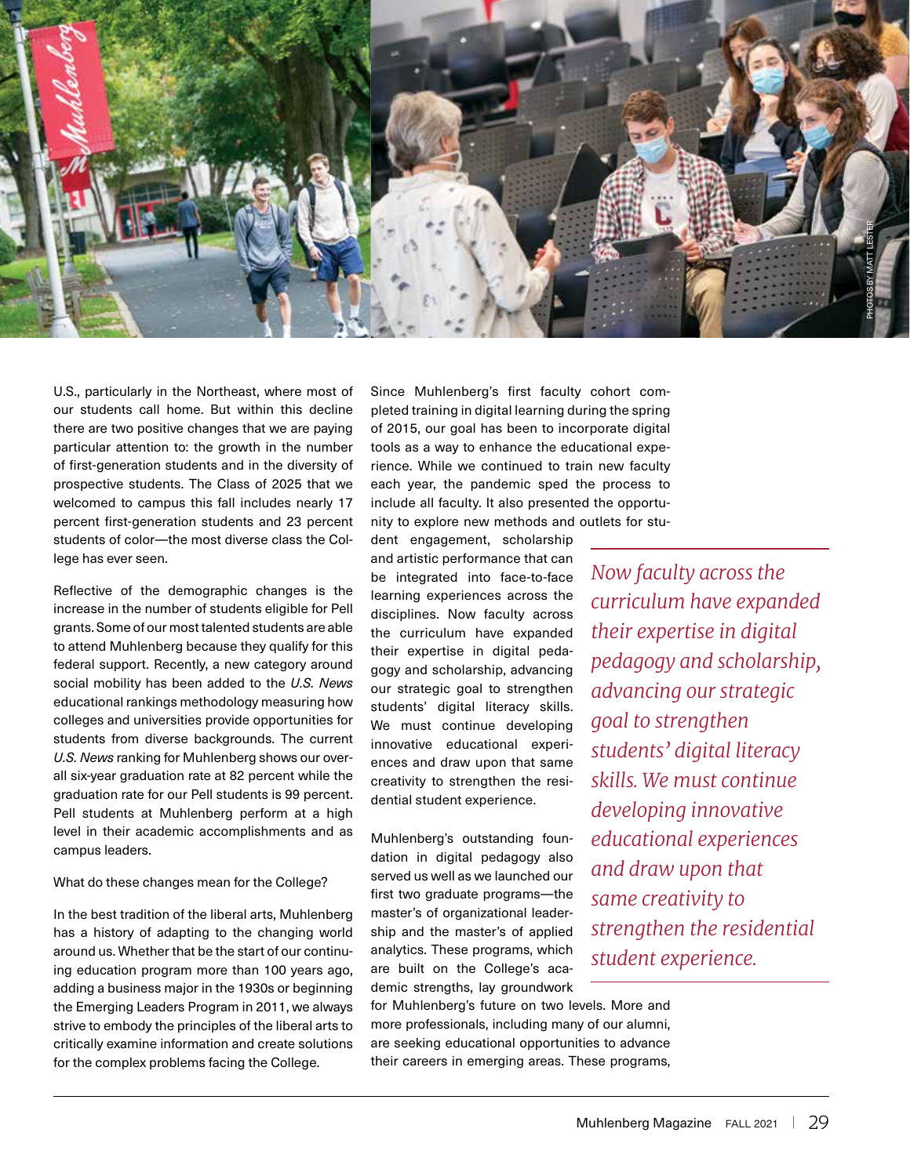

U.S., particularly in the Northeast, where most of our students call home. But within this decline there are two positive changes that we are paying particular attention to: the growth in the number of first-generation students and in the diversity of prospective students. The Class of 2025 that we welcomed to campus this fall includes nearly 17 percent first-generation students and 23 percent students of color—the most diverse class the College has ever seen.

Reflective of the demographic changes is the increase in the number of students eligible for Pell grants. Some of our most talented students are able to attend Muhlenberg because they qualify for this federal support. Recently, a new category around social mobility has been added to the *U.S. News*  educational rankings methodology measuring how colleges and universities provide opportunities for students from diverse backgrounds. The current *U.S. News* ranking for Muhlenberg shows our overall six-year graduation rate at 82 percent while the graduation rate for our Pell students is 99 percent. Pell students at Muhlenberg perform at a high level in their academic accomplishments and as campus leaders.

What do these changes mean for the College?

In the best tradition of the liberal arts, Muhlenberg has a history of adapting to the changing world around us. Whether that be the start of our continuing education program more than 100 years ago, adding a business major in the 1930s or beginning the Emerging Leaders Program in 2011, we always strive to embody the principles of the liberal arts to critically examine information and create solutions for the complex problems facing the College.

Since Muhlenberg's first faculty cohort completed training in digital learning during the spring of 2015, our goal has been to incorporate digital tools as a way to enhance the educational experience. While we continued to train new faculty each year, the pandemic sped the process to include all faculty. It also presented the opportunity to explore new methods and outlets for stu-

dent engagement, scholarship and artistic performance that can be integrated into face-to-face learning experiences across the disciplines. Now faculty across the curriculum have expanded their expertise in digital pedagogy and scholarship, advancing our strategic goal to strengthen students' digital literacy skills. We must continue developing innovative educational experiences and draw upon that same creativity to strengthen the residential student experience.

Muhlenberg's outstanding foundation in digital pedagogy also served us well as we launched our first two graduate programs—the master's of organizational leadership and the master's of applied analytics. These programs, which are built on the College's academic strengths, lay groundwork

for Muhlenberg's future on two levels. More and more professionals, including many of our alumni, are seeking educational opportunities to advance their careers in emerging areas. These programs,

*Now faculty across the curriculum have expanded their expertise in digital pedagogy and scholarship, advancing our strategic goal to strengthen students' digital literacy skills. We must continue developing innovative educational experiences and draw upon that same creativity to strengthen the residential student experience.*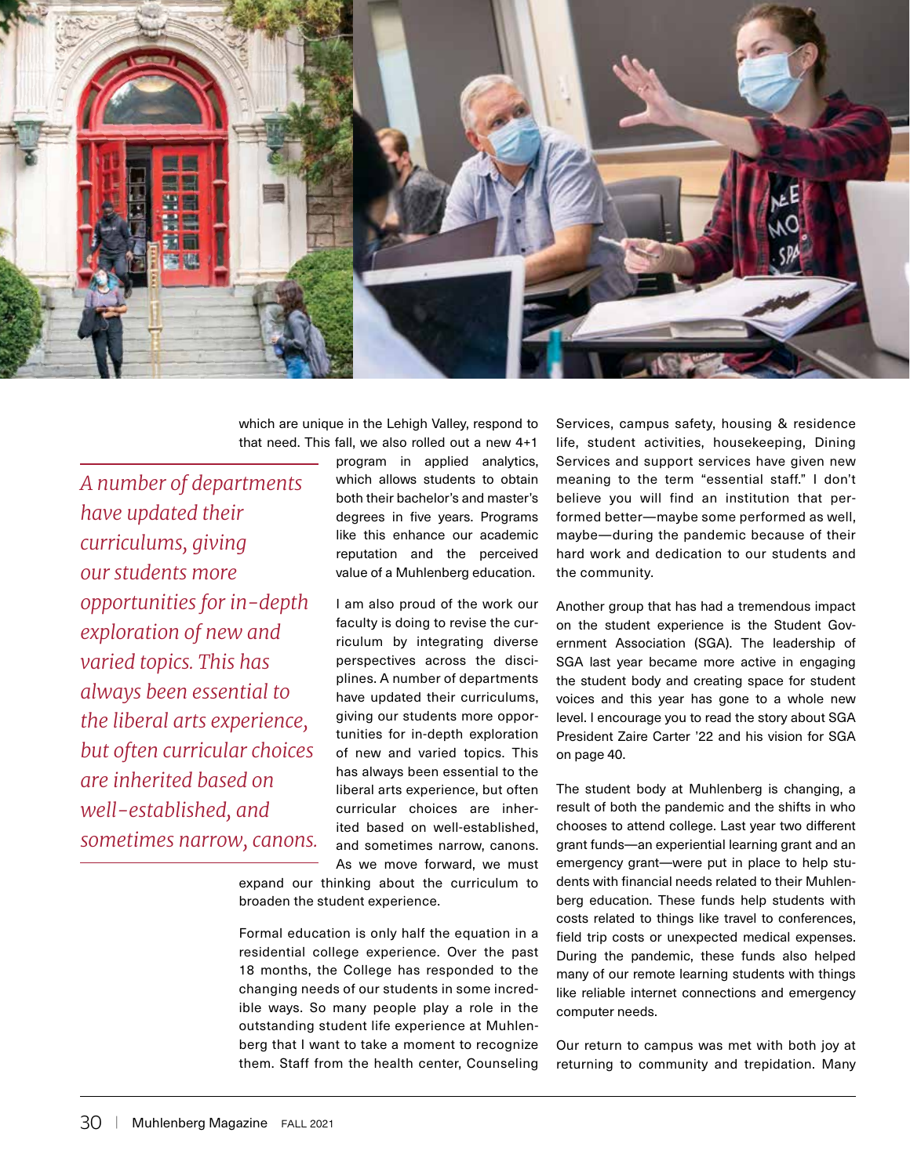

which are unique in the Lehigh Valley, respond to that need. This fall, we also rolled out a new 4+1

*A number of departments have updated their curriculums, giving our students more opportunities for in-depth exploration of new and varied topics. This has always been essential to the liberal arts experience, but often curricular choices are inherited based on well-established, and sometimes narrow, canons.*  program in applied analytics, which allows students to obtain both their bachelor's and master's degrees in five years. Programs like this enhance our academic reputation and the perceived value of a Muhlenberg education.

I am also proud of the work our faculty is doing to revise the curriculum by integrating diverse perspectives across the disciplines. A number of departments have updated their curriculums, giving our students more opportunities for in-depth exploration of new and varied topics. This has always been essential to the liberal arts experience, but often curricular choices are inherited based on well-established, and sometimes narrow, canons. As we move forward, we must

expand our thinking about the curriculum to broaden the student experience.

Formal education is only half the equation in a residential college experience. Over the past 18 months, the College has responded to the changing needs of our students in some incredible ways. So many people play a role in the outstanding student life experience at Muhlenberg that I want to take a moment to recognize them. Staff from the health center, Counseling

Services, campus safety, housing & residence life, student activities, housekeeping, Dining Services and support services have given new meaning to the term "essential staff." I don't believe you will find an institution that performed better—maybe some performed as well, maybe—during the pandemic because of their hard work and dedication to our students and the community.

Another group that has had a tremendous impact on the student experience is the Student Government Association (SGA). The leadership of SGA last year became more active in engaging the student body and creating space for student voices and this year has gone to a whole new level. I encourage you to read the story about SGA President Zaire Carter '22 and his vision for SGA on page 40.

The student body at Muhlenberg is changing, a result of both the pandemic and the shifts in who chooses to attend college. Last year two different grant funds—an experiential learning grant and an emergency grant—were put in place to help students with financial needs related to their Muhlenberg education. These funds help students with costs related to things like travel to conferences, field trip costs or unexpected medical expenses. During the pandemic, these funds also helped many of our remote learning students with things like reliable internet connections and emergency computer needs.

Our return to campus was met with both joy at returning to community and trepidation. Many